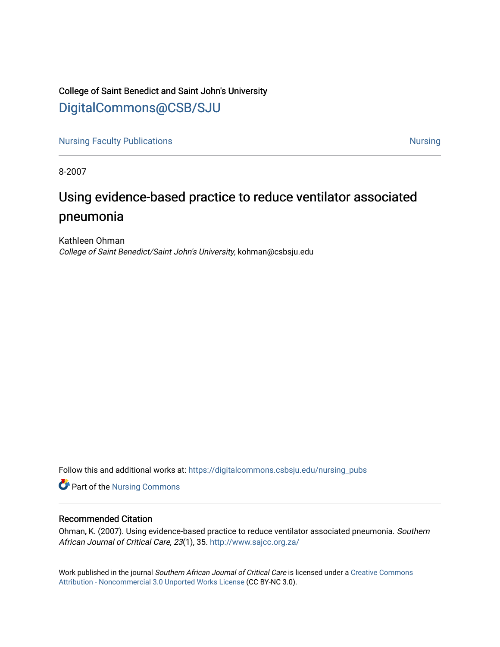## College of Saint Benedict and Saint John's University [DigitalCommons@CSB/SJU](https://digitalcommons.csbsju.edu/)

[Nursing Faculty Publications](https://digitalcommons.csbsju.edu/nursing_pubs) [Nursing](https://digitalcommons.csbsju.edu/nursing) Nursing Nursing Nursing

8-2007

## Using evidence-based practice to reduce ventilator associated pneumonia

Kathleen Ohman College of Saint Benedict/Saint John's University, kohman@csbsju.edu

Follow this and additional works at: [https://digitalcommons.csbsju.edu/nursing\\_pubs](https://digitalcommons.csbsju.edu/nursing_pubs?utm_source=digitalcommons.csbsju.edu%2Fnursing_pubs%2F18&utm_medium=PDF&utm_campaign=PDFCoverPages) 

Part of the [Nursing Commons](http://network.bepress.com/hgg/discipline/718?utm_source=digitalcommons.csbsju.edu%2Fnursing_pubs%2F18&utm_medium=PDF&utm_campaign=PDFCoverPages) 

### Recommended Citation

Ohman, K. (2007). Using evidence-based practice to reduce ventilator associated pneumonia. Southern African Journal of Critical Care, 23(1), 35. [http://www.sajcc.org.za/](http://www.sajcc.org.za/index.php/SAJCC/article/view/20/23) 

Work published in the journal Southern African Journal of Critical Care is licensed under a [Creative Commons](http://creativecommons.org/licenses/by-nc/3.0/) [Attribution - Noncommercial 3.0 Unported Works License](http://creativecommons.org/licenses/by-nc/3.0/) (CC BY-NC 3.0).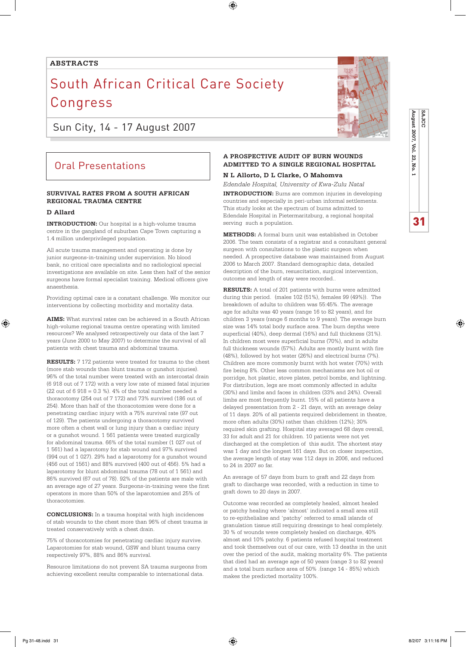### $\bigoplus$

### **abstracts**

# South African Critical Care Society **Congress**

Sun City, 14 - 17 August 2007

## Oral Presentations

### **SURVIVAL RATES FROM A SOUTH AFRICAN REGIONAL TRAUMA CENTRE**

### **D Allard**

⊕

**INTRODUCTION:** Our hospital is a high-volume trauma centre in the gangland of suburban Cape Town capturing a 1.4 million underprivileged population.

All acute trauma management and operating is done by junior surgeons-in-training under supervision. No blood bank, no critical care specialists and no radiological special investigations are available on site. Less then half of the senior surgeons have formal specialist training. Medical officers give anaesthesia.

Providing optimal care is a constant challenge. We monitor our interventions by collecting morbidity and mortality data.

**AIMS:** What survival rates can be achieved in a South African high-volume regional trauma centre operating with limited resources? We analysed retrospectively our data of the last 7 years (June 2000 to May 2007) to determine the survival of all patients with chest trauma and abdominal trauma.

**RESULTS:** 7 172 patients were treated for trauma to the chest (more stab wounds than blunt trauma or gunshot injuries). 96% of the total number were treated with an intercostal drain (6 918 out of 7 172) with a very low rate of missed fatal injuries  $(22 \text{ out of } 6918 = 0.3 \%)$ . 4% of the total number needed a thoracotomy (254 out of 7 172) and 73% survived (186 out of 254). More than half of the thoracotomies were done for a penetrating cardiac injury with a 75% survival rate (97 out of 129). The patients undergoing a thoracotomy survived more often a chest wall or lung injury than a cardiac injury or a gunshot wound. 1 561 patients were treated surgically for abdominal trauma. 66% of the total number (1 027 out of 1 561) had a laparotomy for stab wound and 97% survived (994 out of 1 027). 29% had a laparotomy for a gunshot wound (456 out of 1561) and 88% survived (400 out of 456). 5% had a laparotomy for blunt abdominal trauma (78 out of 1 561) and 86% survived (67 out of 78). 92% of the patients are male with an average age of 27 years. Surgeons-in-training were the first operators in more than 50% of the laparotomies and 25% of thoracotomies.

**CONCLUSIONS:** In a trauma hospital with high incidences of stab wounds to the chest more than 96% of chest trauma is treated conservatively with a chest drain.

75% of thoracotomies for penetrating cardiac injury survive. Laparotomies for stab wound, GSW and blunt trauma carry respectively 97%, 88% and 86% survival.

Resource limitations do not prevent SA trauma surgeons from achieving excellent results comparable to international data.



**N L Allorto, D L Clarke, O Mahomva**

*Edendale Hospital, University of Kwa-Zulu Natal*  **INTRODUCTION:** Burns are common injuries in developing countries and especially in peri-urban informal settlements. This study looks at the spectrum of burns admitted to Edendale Hospital in Pietermaritzburg, a regional hospital serving such a population.

**METHODS:** A formal burn unit was established in October 2006. The team consists of a registrar and a consultant general surgeon with consultations to the plastic surgeon when needed. A prospective database was maintained from August 2006 to March 2007. Standard demographic data, detailed description of the burn, resuscitation, surgical intervention, outcome and length of stay were recorded..

**RESULTS:** A total of 201 patients with burns were admitted during this period. (males 102 (51%), females 99 (49%)). The breakdown of adults to children was 55:45%. The average age for adults was 40 years (range 16 to 82 years), and for children 3 years (range 6 months to 9 years). The average burn size was 14% total body surface area. The burn depths were superficial (40%), deep dermal (16%) and full thickness (31%). In children most were superficial burns (70%), and in adults full thickness wounds (57%). Adults are mostly burnt with fire (48%), followed by hot water (26%) and electrical burns (7%). Children are more commonly burnt with hot water (70%) with fire being 8%. Other less common mechanisms are hot oil or porridge, hot plastic, stove plates, petrol bombs, and lightning. For distribution, legs are most commonly affected in adults (30%) and limbs and faces in children (33% and 24%). Overall limbs are most frequently burnt. 15% of all patients have a delayed presentation from 2 - 21 days, with an average delay of 11 days. 20% of all patients required debridement in theatre, more often adults (30%) rather than children (12%); 30% required skin grafting. Hospital stay averaged 68 days overall, 33 for adult and 21 for children. 10 patients were not yet discharged at the completion of this audit. The shortest stay was 1 day and the longest 161 days. But on closer inspection, the average length of stay was 112 days in 2006, and reduced to 24 in 2007 so far.

An average of 57 days from burn to graft and 22 days from graft to discharge was recorded, with a reduction in time to graft down to 20 days in 2007.

Outcome was recorded as completely healed, almost healed or patchy healing where 'almost' indicated a small area still to re-epithelialise and 'patchy' referred to small islands of granulation tissue still requiring dressings to heal completely. 30 % of wounds were completely healed on discharge, 40% almost and 10% patchy. 6 patients refused hospital treatment and took themselves out of our care, with 13 deaths in the unit over the period of the audit, making mortality 6%. The patients that died had an average age of 50 years (range 3 to 82 years) and a total burn surface area of 50% .(range 14 - 85%) which makes the predicted mortality 100%.



**SAJCC**

31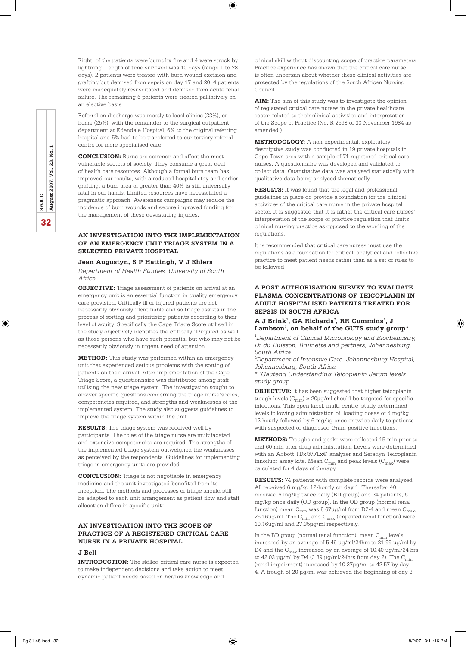32**SAJCC August 2007, Vol. 23, No. 1** ρg. 23, Vol. **August 2007,** SAJCC 32

⊕

Eight of the patients were burnt by fire and 4 were struck by lightning. Length of time survived was 10 days (range 1 to 28 days). 2 patients were treated with burn wound excision and grafting but demised from sepsis on day 17 and 20. 4 patients were inadequately resuscitated and demised from acute renal failure. The remaining 6 patients were treated palliatively on an elective basis.

⊕

Referral on discharge was mostly to local clinics (33%), or home (25%), with the remainder to the surgical outpatient department at Edendale Hospital, 6% to the original referring hospital and 5% had to be transferred to our tertiary referral centre for more specialised care.

**CONCLUSION:** Burns are common and affect the most vulnerable sectors of society. They consume a great deal of health care resources. Although a formal burn team has improved our results, with a reduced hospital stay and earlier grafting, a burn area of greater than 40% is still universally fatal in our hands. Limited resources have necessitated a pragmatic approach. Awareness campaigns may reduce the incidence of burn wounds and secure improved funding for the management of these devastating injuries.

### **AN INVESTIGATION INTO THE IMPLEMENTATION OF AN EMERGENCY UNIT TRIAGE SYSTEM IN A SELECTED PRIVATE HOSPITAL**

### **Jean Augustyn, S P Hattingh, V J Ehlers**

*Department of Health Studies, University of South Africa*

**OBJECTIVE:** Triage assessment of patients on arrival at an emergency unit is an essential function in quality emergency care provision. Critically ill or injured patients are not necessarily obviously identifiable and so triage assists in the process of sorting and prioritising patients according to their level of acuity. Specifically the Cape Triage Score utilised in the study objectively identifies the critically ill/injured as well as those persons who have such potential but who may not be necessarily obviously in urgent need of attention.

**METHOD:** This study was performed within an emergency unit that experienced serious problems with the sorting of patients on their arrival. After implementation of the Cape Triage Score, a questionnaire was distributed among staff utilising the new triage system. The investigation sought to answer specific questions concerning the triage nurse's roles, competencies required, and strengths and weaknesses of the implemented system. The study also suggests guidelines to improve the triage system within the unit.

**RESULTS:** The triage system was received well by participants. The roles of the triage nurse are multifaceted and extensive competencies are required. The strengths of the implemented triage system outweighed the weaknesses as perceived by the respondents. Guidelines for implementing triage in emergency units are provided.

**CONCLUSION:** Triage is not negotiable in emergency medicine and the unit investigated benefited from its inception. The methods and processes of triage should still be adapted to each unit arrangement as patient flow and staff allocation differs in specific units.

### **AN INVESTIGATION INTO THE SCOPE OF PRACTICE OF A REGISTERED CRITICAL CARE NURSE IN A PRIVATE HOSPITAL**

### **J Bell**

**INTRODUCTION:** The skilled critical care nurse is expected to make independent decisions and take action to meet dynamic patient needs based on her/his knowledge and

clinical skill without discounting scope of practice parameters. Practice experience has shown that the critical care nurse is often uncertain about whether these clinical activities are protected by the regulations of the South African Nursing Council.

**AIM:** The aim of this study was to investigate the opinion of registered critical care nurses in the private healthcare sector related to their clinical activities and interpretation of the Scope of Practice (No. R 2598 of 30 November 1984 as amended.).

**METHODOLOGY:** A non-experimental, exploratory descriptive study was conducted in 19 private hospitals in Cape Town area with a sample of 71 registered critical care nurses. A questionnaire was developed and validated to collect data. Quantitative data was analysed statistically with qualitative data being analysed thematically.

**RESULTS:** It was found that the legal and professional guidelines in place do provide a foundation for the clinical activities of the critical care nurse in the private hospital sector. It is suggested that it is rather the critical care nurses' interpretation of the scope of practice regulation that limits clinical nursing practice as opposed to the wording of the regulations.

It is recommended that critical care nurses must use the regulations as a foundation for critical, analytical and reflective practice to meet patient needs rather than as a set of rules to be followed.

### **A POST AUTHORISATION SURVEY TO EVALUATE PLASMA CONCENTRATIONS OF TEICOPLANIN IN ADULT HOSPITALISED PATIENTS TREATED FOR SEPSIS IN SOUTH AFRICA**

### A J Brink<sup>1</sup>, GA Richards<sup>2</sup>, RR Cummins<sup>1</sup>, J Lambson<sup>1</sup>, on behalf of the GUTS study group\*

1 *Department of Clinical Microbiology and Biochemistry, Dr du Buisson, Bruinette and partners, Johannesburg, South Africa*

2 *Department of Intensive Care, Johannesburg Hospital, Johannesburg, South Africa* 

*\* 'Gauteng Understanding Teicoplanin Serum levels' study group*

**OBJECTIVE:** It has been suggested that higher teicoplanin trough levels  $(C_{\text{min}}) \geq 20 \mu g/\text{ml}$  should be targeted for specific infections. This open label, multi-centre, study determined levels following administration of loading doses of 6 mg/kg 12 hourly followed by 6 mg/kg once or twice-daily to patients with suspected or diagnosed Gram-positive infections.

**METHODS:** Troughs and peaks were collected 15 min prior to and 60 min after drug administration. Levels were determined with an Abbott TDx®/FLx® analyzer and Seradyn Teicoplanin Innofluor assay kits. Mean  $C_{\text{min}}$  and peak levels  $(C_{\text{max}})$  were calculated for 4 days of therapy.

**RESULTS:** 74 patients with complete records were analysed. All received 6 mg/kg 12-hourly on day 1. Thereafter 40 received 6 mg/kg twice daily (BD group) and 34 patients, 6 mg/kg once daily (OD group). In the OD group (normal renal function) mean  $C_{min}$  was 8.67µg/ml from D2-4 and mean  $C_{max}$ , 25.16µg/ml. The  $\mathrm{C}_{\mathrm{min}}$  and  $\mathrm{C}_{\mathrm{max}}$  (impaired renal function) were 10.16µg/ml and 27.35µg/ml respectively.

In the BD group (normal renal function), mean  $\mathrm{C}_{\mathrm{min}}$  levels increased by an average of 5.49 µg/ml/24hrs to 21.99 µg/ml by D4 and the  $\rm C_{max}$  increased by an average of 10.40  $\mu$ g/ml/24 hrs to 42.03  $\mu$ g/ml by D4 (3.89  $\mu$ g/ml/24hrs from day 2). The C<sub>min</sub> (renal impairment) increased by 10.37µg/ml to 42.57 by day 4. A trough of 20 µg/ml was achieved the beginning of day 3.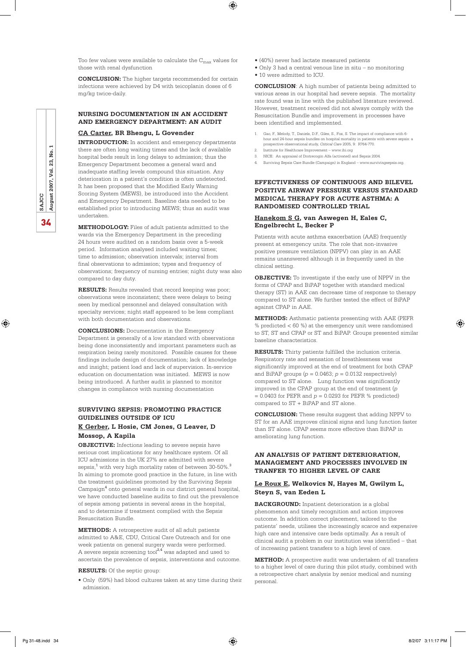Too few values were available to calculate the  $C_{\text{max}}$  values for those with renal dysfunction

**CONCLUSION:** The higher targets recommended for certain infections were achieved by D4 with teicoplanin doses of 6 mg/kg twice-daily.

### **NURSING DOCUMENTATION IN AN ACCIDENT AND EMERGENCY DEPARTMENT: AN AUDIT**

### **CA Carter, BR Bhengu, L Govender**

**INTRODUCTION:** In accident and emergency departments there are often long waiting times and the lack of available hospital beds result in long delays to admission; thus the Emergency Department becomes a general ward and inadequate staffing levels compound this situation. Any deterioration in a patient's condition is often undetected. It has been proposed that the Modified Early Warning Scoring System (MEWS), be introduced into the Accident and Emergency Department. Baseline data needed to be established prior to introducing MEWS; thus an audit was undertaken.

**METHODOLOGY:** Files of adult patients admitted to the wards via the Emergency Department in the preceding 24 hours were audited on a random basis over a 5-week period. Information analysed included waiting times; time to admission; observation intervals; interval from final observations to admission; types and frequency of observations; frequency of nursing entries; night duty was also compared to day duty.

**RESULTS:** Results revealed that record keeping was poor; observations were inconsistent; there were delays to being seen by medical personnel and delayed consultation with specialty services; night staff appeared to be less compliant with both documentation and observations.

**CONCLUSIONS:** Documentation in the Emergency Department is generally of a low standard with observations being done inconsistently and important parameters such as respiration being rarely monitored. Possible causes for these findings include design of documentation; lack of knowledge and insight; patient load and lack of supervision. In-service education on documentation was initiated. MEWS is now being introduced. A further audit is planned to monitor changes in compliance with nursing documentation

### **SURVIVING SEPSIS: PROMOTING PRACTICE GUIDELINES OUTSIDE OF ICU**

### **K Gerber, L Hosie, CM Jones, G Leaver, D Mossop, A Kapila**

**OBJECTIVE:** Infections leading to severe sepsis have serious cost implications for any healthcare system. Of all ICU admissions in the UK 27% are admitted with severe  ${\rm sepsis},^1$  with very high mortality rates of between 30-50%. $^3$ In aiming to promote good practice in the future, in line with the treatment guidelines promoted by the Surviving Sepsis Campaign<sup>4</sup> onto general wards in our district general hospital, we have conducted baseline audits to find out the prevalence of sepsis among patients in several areas in the hospital, and to determine if treatment complied with the Sepsis Resuscitation Bundle.

**METHODS:** A retrospective audit of all adult patients admitted to A&E, CDU, Critical Care Outreach and for one week patients on general surgery wards were performed. A severe sepsis screening tool $^{2,4}$  was adapted and used to ascertain the prevalence of sepsis, interventions and outcome.

#### **RESULTS:** Of the septic group:

• Only (59%) had blood cultures taken at any time during their admission.

- (40%) never had lactate measured patients
- Only 3 had a central venous line in situ no monitoring
- 10 were admitted to ICU.

 $\bigoplus$ 

**CONCLUSION**: A high number of patients being admitted to various areas in our hospital had severe sepsis. The mortality rate found was in line with the published literature reviewed. However, treatment received did not always comply with the Resuscitation Bundle and improvement in processes have been identified and implemented.

- 1. Gao, F., Melody, T., Daniels, D.F., Giles, S., Fox, S. The impact of compliance with 6 hour and 24-hour sepsis bundles on hospital mortality in patients with severe sepsis: a prospective observational study, *Critical Care* 2005, 9: R764-770.
- 2. Institute for Healthcare Improvement www.ihi.org
- 3. NICE: An appraisal of Drotrecogin Alfa (activated) and Sepsis 2004.
- 4. Surviving Sepsis Care Bundle (Campaign) in England www.survivingsepsis.org.

### **EFFECTIVENESS OF CONTINUOUS AND BILEVEL POSITIVE AIRWAY PRESSURE VERSUS STANDARD MEDICAL THERAPY FOR ACUTE ASTHMA: A RANDOMIsED CONTROLLED TRIAL**

### **Hanekom S G, van Aswegen H, Eales C, Engelbrecht L, Becker P**

Patients with acute asthma exacerbation (AAE) frequently present at emergency units. The role that non-invasive positive pressure ventilation (NPPV) can play in an AAE remains unanswered although it is frequently used in the clinical setting.

**OBJECTIVE:** To investigate if the early use of NPPV in the forms of CPAP and BiPAP together with standard medical therapy (ST) in AAE can decrease time of response to therapy compared to ST alone. We further tested the effect of BiPAP against CPAP in AAE.

**METHODS:** Asthmatic patients presenting with AAE (PEFR % predicted < 60 %) at the emergency unit were randomised to ST, ST and CPAP or ST and BiPAP. Groups presented similar baseline characteristics.

**RESULTS:** Thirty patients fulfilled the inclusion criteria. Respiratory rate and sensation of breathlessness was significantly improved at the end of treatment for both CPAP and BiPAP groups  $(p = 0.0463; p = 0.0132$  respectively) compared to ST alone. Lung function was significantly improved in the CPAP group at the end of treatment (*p =* 0.0403 for PEFR and *p =* 0.0293 for PEFR % predicted) compared to ST + BiPAP and ST alone.

**CONCLUSION:** These results suggest that adding NPPV to ST for an AAE improves clinical signs and lung function faster than ST alone. CPAP seems more effective than BiPAP in ameliorating lung function.

### **AN ANALYSIS OF PATIENT DETERIORATION, MANAGEMENT AND PROCESSES INVOLVED IN TRANFER TO HIGHER LEVEL OF CARE**

### **Le Roux E, Welkovics N, Hayes M, Gwilym L, Steyn S, van Eeden L**

**BACKGROUND:** Inpatient deterioration is a global phenomenon and timely recognition and action improves outcome. In addition correct placement, tailored to the patients' needs, utilises the increasingly scarce and expensive high care and intensive care beds optimally. As a result of clinical audit a problem in our institution was identified – that of increasing patient transfers to a high level of care.

**METHOD:** A prospective audit was undertaken of all transfers to a higher level of care during this pilot study, combined with a retrospective chart analysis by senior medical and nursing personal.



⊕

Pg 31-48.indd 34 <del>(●)</del> 8/2/07 3:11:17 PM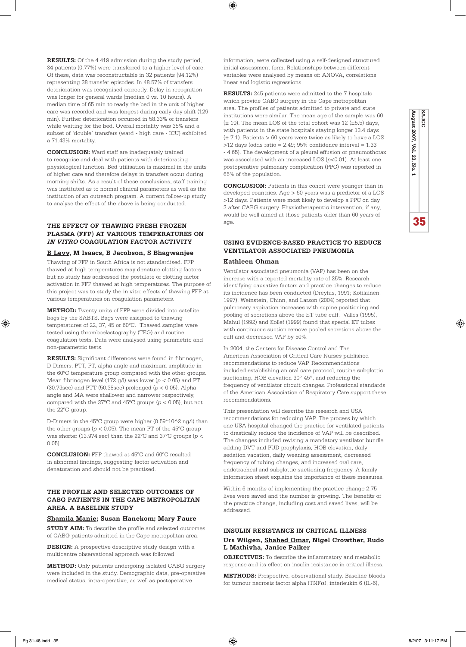**RESULTS:** Of the 4 419 admission during the study period, 34 patients (0.77%) were transferred to a higher level of care. Of these, data was reconstructable in 32 patients (94.12%) representing 38 transfer episodes. In 48.57% of transfers deterioration was recognised correctly. Delay in recognition was longer for general wards (median 0 vs. 10 hours). A median time of 65 min to ready the bed in the unit of higher care was recorded and was longest during early day shift (129 min). Further deterioration occurred in 58.33% of transfers while waiting for the bed. Overall mortality was 35% and a subset of 'double' transfers (ward - high care - ICU) exhibited a 71.43% mortality.

**CONCLUSION:** Ward staff are inadequately trained to recognise and deal with patients with deteriorating physiological function. Bed utilisation is maximal in the units of higher care and therefore delays in transfers occur during morning shifts. As a result of these conclusions, staff training was instituted as to normal clinical parameters as well as the institution of an outreach program. A current follow-up study to analyse the effect of the above is being conducted.

### **THE EFFECT OF THAWING FRESH FROZEN PLASMA (FFP) AT VARIOUS TEMPERATURES ON IN VITRO COAGULATION FACTOR ACTIVITY**

### **B Levy, M Isaacs, B Jacobson, S Bhagwanjee**

Thawing of FFP in South Africa is not standardised. FFP thawed at high temperatures may denature clotting factors but no study has addressed the postulate of clotting factor activation in FFP thawed at high temperatures. The purpose of this project was to study the in vitro effects of thawing FFP at various temperatures on coagulation parameters.

**METHOD:** Twenty units of FFP were divided into satellite bags by the SABTS. Bags were assigned to thawing temperatures of 22, 37, 45 or 60ºC. Thawed samples were tested using thromboelastography (TEG) and routine coagulation tests. Data were analysed using parametric and non-parametric tests.

**RESULTS:** Significant differences were found in fibrinogen, D-Dimers, PTT, PT, alpha angle and maximum amplitude in the 60ºC temperature group compared with the other groups. Mean fibrinogen level (172 g/l) was lower (*p* < 0.05) and PT (30.73sec) and PTT (50.38sec) prolonged (*p* < 0.05). Alpha angle and MA were shallower and narrower respectively, compared with the 37ºC and 45ºC groups (*p* < 0.05), but not the 22°C group.

D-Dimers in the 45ºC group were higher (0.59\*10^2 ng/l) than the other groups  $(p<0.05).$  The mean PT of the  $45^{\circ}\mathrm{C}$  group was shorter (13.974 sec) than the 22ºC and 37ºC groups (*p* < 0.05).

**CONCLUSION:** FFP thawed at 45ºC and 60ºC resulted in abnormal findings, suggesting factor activation and denaturation and should not be practised.

### **THE PROFILE AND SELECTED OUTCOMES OF CABG PATIENTS IN THE CAPE METROPOLITAN AREA. A BASELINE STUDY**

### **Shamila Manie; Susan Hanekom; Mary Faure**

**STUDY AIM:** To describe the profile and selected outcomes of CABG patients admitted in the Cape metropolitan area.

**DESIGN:** A prospective descriptive study design with a multicentre observational approach was followed.

**METHOD:** Only patients undergoing isolated CABG surgery were included in the study. Demographic data, pre-operative medical status, intra-operative, as well as postoperative

information, were collected using a self-designed structured initial assessment form. Relationships between different variables were analysed by means of: ANOVA, correlations, linear and logistic regressions.

**RESULTS:** 245 patients were admitted to the 7 hospitals which provide CABG surgery in the Cape metropolitan area. The profiles of patients admitted to private and state institutions were similar. The mean age of the sample was 60  $(\pm 10)$ . The mean LOS of the total cohort was 12 ( $\pm$ 5.5) days, with patients in the state hospitals staying longer 13.4 days  $(\pm 7.1)$ . Patients > 60 years were twice as likely to have a LOS  $>12$  days (odds ratio = 2.49; 95% confidence interval = 1.33 - 4.65). The development of a pleural effusion or pneumothorax was associated with an increased LOS (*p*<0.01). At least one postoperative pulmonary complication (PPC) was reported in 65% of the population.

**August 2007, Vol. 23, No. 1**

ξã No.

August 2007, Vol.

35

♠

**SAJCC**

**CONCLUSION:** Patients in this cohort were younger than in developed countries. Age > 60 years was a predictor of a LOS >12 days. Patients were most likely to develop a PPC on day 3 after CABG surgery. Physiotherapeutic intervention, if any, would be well aimed at those patients older than 60 years of age.

### **USING EVIDENCE-BASED PRACTICE TO REDUCE VENTILATOR ASSOCIATED PNEUMONIA**

### **Kathleen Ohman**

⊕

Ventilator associated pneumonia (VAP) has been on the increase with a reported mortality rate of 25%. Research identifying causative factors and practice changes to reduce its incidence has been conducted (Dreyfus, 1991; Kotilainen, 1997). Weinstein, Chinn, and Larson (2004) reported that pulmonary aspiration increases with supine positioning and pooling of secretions above the ET tube cuff. Valles (1995), Mahul (1992) and Kollef (1999) found that special ET tubes with continuous suction remove pooled secretions above the cuff and decreased VAP by 50%.

In 2004, the Centers for Disease Control and The American Association of Critical Care Nurses published recommendations to reduce VAP. Recommendations included establishing an oral care protocol, routine subglottic suctioning, HOB elevation 30°-45°, and reducing the frequency of ventilator circuit changes. Professional standards of the American Association of Respiratory Care support these recommendations.

This presentation will describe the research and USA recommendations for reducing VAP. The process by which one USA hospital changed the practice for ventilated patients to drastically reduce the incidence of VAP will be described. The changes included revising a mandatory ventilator bundle adding DVT and PUD prophylaxis, HOB elevation, daily sedation vacation, daily weaning assessment, decreased frequency of tubing changes, and increased oral care, endotracheal and subglottic suctioning frequency. A family information sheet explains the importance of these measures.

Within 6 months of implementing the practice change 2.75 lives were saved and the number is growing. The benefits of the practice change, including cost and saved lives, will be addressed.

### **INSULIN RESISTANCE IN CRITICAL ILLNESS Urs Wilgen, Shahed Omar, Nigel Crowther, Rudo L Mathivha, Janice Paiker**

**OBJECTIVES:** To describe the inflammatory and metabolic response and its effect on insulin resistance in critical illness.

**METHODS:** Prospective, observational study. Baseline bloods for tumour necrosis factor alpha ( $TNF\alpha$ ), interleukin 6 (IL-6),

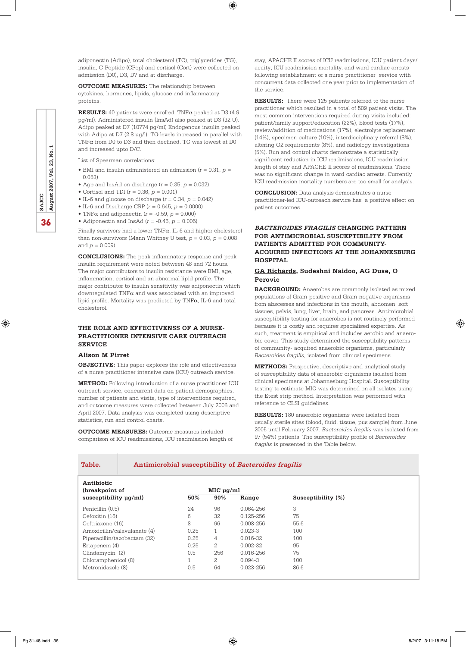adiponectin (Adipo), total cholesterol (TC), triglycerides (TG), insulin, C-Peptide (CPep) and cortisol (Cort) were collected on admission (D0), D3, D7 and at discharge.

 $\textcircled{\scriptsize\textsf{t}}$ 

**OUTCOME MEASURES:** The relationship between cytokines, hormones, lipids, glucose and inflammatory proteins.

**RESULTS:** 40 patients were enrolled. TNFα peaked at D3 (4.9 pg/ml). Administered insulin (InsAd) also peaked at D3 (32 U). Adipo peaked at D7 (10774 pg/ml) Endogenous insulin peaked with Adipo at D7 (2.8 ug/l). TG levels increased in parallel with  $\mbox{TNF}\alpha$  from D0 to D3 and then declined. TC was lowest at D0 and increased upto D/C.

List of Spearman correlations:

- BMI and insulin administered an admission (*r =* 0.31, *p =* 0.053)
- Age and InsAd on discharge  $(r = 0.35, p = 0.032)$
- Cortisol and TDI (*r =* 0.36, *p =* 0.001)
- IL-6 and glucose on discharge (*r =* 0.34, *p =* 0.042)
- IL-6 and Discharge CRP (*r =* 0.645, *p =* 0.0000)
- TNF $\alpha$  and adiponectin ( $r = -0.59$ ,  $p = 0.000$ ) • Adiponectin and InsAd (*r =* -0.46, *p =* 0.005)

Finally survivors had a lower TNF $\alpha$ , IL-6 and higher cholesterol than non-survivors (Mann Whitney U test, *p =* 0.03, *p =* 0.008 and *p =* 0.009).

**CONCLUSIONS:** The peak inflammatory response and peak insulin requirement were noted between 48 and 72 hours. The major contributors to insulin resistance were BMI, age, inflammation, cortisol and an abnormal lipid profile. The major contributor to insulin sensitivity was adiponectin which downregulated  $\text{TNF}\alpha$  and was associated with an improved lipid profile. Mortality was predicted by  $\operatorname{TNF}\alpha$  , IL-6 and total cholesterol.

### **THE ROLE AND EFFECTIVENSS OF A NURSE-PRACTITIONER INTENSIVE CARE OUTREACH SERVICE**

### **Alison M Pirret**

**OBJECTIVE:** This paper explores the role and effectiveness of a nurse practitioner intensive care (ICU) outreach service.

**METHOD:** Following introduction of a nurse practitioner ICU outreach service, concurrent data on patient demographics, number of patients and visits, type of interventions required, and outcome measures were collected between July 2006 and April 2007. Data analysis was completed using descriptive statistics, run and control charts.

**OUTCOME MEASURES:** Outcome measures included comparison of ICU readmissions, ICU readmission length of stay, APACHE II scores of ICU readmissions, ICU patient days/ acuity; ICU readmission mortality, and ward cardiac arrests following establishment of a nurse practitioner service with concurrent data collected one year prior to implementation of the service.

**RESULTS:** There were 125 patients referred to the nurse practitioner which resulted in a total of 509 patient visits. The most common interventions required during visits included: patient/family support/education (22%), blood tests (17%), review/addition of medications (17%), electrolyte replacement (14%), specimen culture (10%), interdisciplinary referral (8%), altering O2 requirements (8%), and radiology investigations (5%). Run and control charts demonstrate a statistically significant reduction in ICU readmissions, ICU readmission length of stay and APACHE II scores of readmissions. There was no significant change in ward cardiac arrests. Currently ICU readmission mortality numbers are too small for analysis.

**CONCLUSION:** Data analysis demonstrates a nursepractitioner-led ICU-outreach service has a positive effect on patient outcomes.

### **BACTEROIDES FRAGILIS CHANGING PATTERN FOR ANTIMICROBIAL SUSCEPTIBILITY FROM PATIENTS ADMITTED FOR COMMUNITY-ACQUIRED INFECTIONS AT THE JOHANNESBURG HOSPITAL**

### **GA Richards, Sudeshni Naidoo, AG Duse, O Perovic**

**BACKGROUND:** Anaerobes are commonly isolated as mixed populations of Gram-positive and Gram-negative organisms from abscesses and infections in the mouth, abdomen, soft tissues, pelvis, lung, liver, brain, and pancreas. Antimicrobial susceptibility testing for anaerobes is not routinely performed because it is costly and requires specialised expertise. As such, treatment is empirical and includes aerobic and anaerobic cover. This study determined the susceptibility patterns of community- acquired anaerobic organisms, particularly *Bacteroides fragilis*, isolated from clinical specimens.

**METHODS:** Prospective, descriptive and analytical study of susceptibility data of anaerobic organisms isolated from clinical specimens at Johannesburg Hospital. Susceptibility testing to estimate MIC was determined on all isolates using the Etest strip method. Interpretation was performed with reference to CLSI guidelines.

**RESULTS:** 180 anaerobic organisms were isolated from usually sterile sites (blood, fluid, tissue, pus sample) from June 2005 until February 2007. *Bacteroides fragilis* was isolated from 97 (54%) patients. The susceptibility profile of *Bacteroides fragilis* is presented in the Table below.

#### Table. Antimicrobial susceptibility of *Bacteroides fragilis*

| Antibiotic                   |                  |     |               |                    |
|------------------------------|------------------|-----|---------------|--------------------|
| (breakpoint of               | $MIC$ $\mu$ g/ml |     |               |                    |
| susceptibility $\mu$ g/ml)   | 50%              | 90% | Range         | Susceptibility (%) |
| Penicillin (0.5)             | 24               | 96  | 0.064-256     | 3                  |
| Cefoxitin (16)               | 6                | 32  | $0.125 - 256$ | 75                 |
| Ceftriaxone (16)             | 8                | 96  | $0.008 - 256$ | 55.6               |
| Amoxicillin/calavulanate (4) | 0.25             | 1   | $0.023 - 3$   | 100                |
| Piperacillin/tazobactam (32) | 0.25             | 4   | $0.016 - 32.$ | 100                |
| Ertapenem (4)                | 0.25             | 2   | $0.002 - 32.$ | 95                 |
| Clindamycin (2)              | 0.5              | 256 | $0.016 - 256$ | 75                 |
| Chloramphenicol (8)          | $\overline{ }$   | 2.  | $0.094 - 3$   | 100                |
| Metronidazole (8)            | 0.5              | 64  | 0.023-256     | 86.6               |
|                              |                  |     |               |                    |



⊕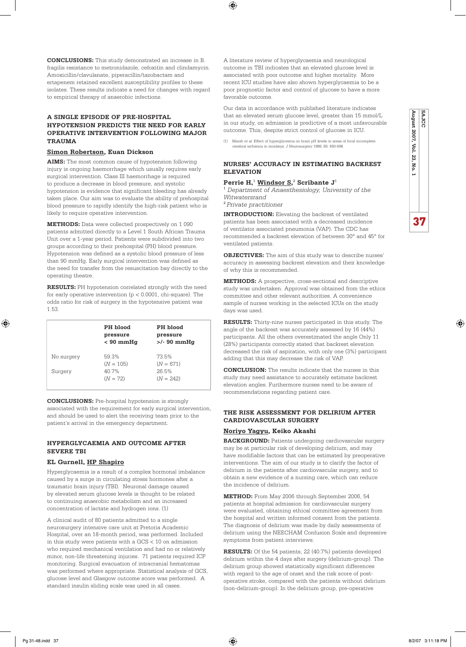**CONCLUSIONS:** This study demonstrated an increase in B. fragilis resistance to metronidazole, cefoxitin and clindamycin. Amoxicillin/clavulanate, piperacillin/tazobactam and ertapenem retained excellent susceptibility profiles to these isolates. These results indicate a need for changes with regard to empirical therapy of anaerobic infections.

### **A SINGLE EPISODE OF PRE-HOSPITAL HYPOTENSION PREDICTS THE NEED FOR EARLY OPERATIVE INTERVENTION FOLLOWING MAJOR TRAUMA**

#### **Simon Robertson, Euan Dickson**

**AIMS:** The most common cause of hypotension following injury is ongoing haemorrhage which usually requires early surgical intervention. Class III haemorrhage is required to produce a decrease in blood pressure, and systolic hypotension is evidence that significant bleeding has already taken place. Our aim was to evaluate the ability of prehospital blood pressure to rapidly identify the high-risk patient who is likely to require operative intervention.

**METHODS:** Data were collected prospectively on 1 090 patients admitted directly to a Level 1 South African Trauma Unit over a 1-year period. Patients were subdivided into two groups according to their prehospital (PH) blood pressure. Hypotension was defined as a systolic blood pressure of less than 90 mmHg. Early surgical intervention was defined as the need for transfer from the resuscitation bay directly to the operating theatre.

**RESULTS:** PH hypotension correlated strongly with the need for early operative intervention (p < 0.0001, chi-square). The odds ratio for risk of surgery in the hypotensive patient was 1.53.

|            | PH blood<br>pressure<br>$< 90$ mmHg | PH blood<br>pressure<br>$>$ /- 90 mmHg |
|------------|-------------------------------------|----------------------------------------|
| No surgery | 59.3%<br>$(N = 105)$                | 73.5%<br>$(N = 671)$                   |
| Surgery    | 40.7%<br>$(N = 72)$                 | 26.5%<br>$(N = 242)$                   |

**CONCLUSIONS:** Pre-hospital hypotension is strongly associated with the requirement for early surgical intervention, and should be used to alert the receiving team prior to the patient's arrival in the emergency department.

### **HYPERGLYCAEMIA AND OUTCOME AFTER SEVERE TBI**

### **EL Gurnell, HP Shapiro**

Hyperglycaemia is a result of a complex hormonal imbalance caused by a surge in circulating stress hormones after a traumatic brain injury (TBI). Neuronal damage caused by elevated serum glucose levels is thought to be related to continuing anaerobic metabolism and an increased concentration of lactate and hydrogen ions. (1)

A clinical audit of 80 patients admitted to a single neurosurgery intensive care unit at Pretoria Academic Hospital, over an 18-month period, was performed. Included in this study were patients with a GCS  $<10$  on admission who required mechanical ventilation and had no or relatively minor, non-life threatening injuries. 71 patients required ICP monitoring. Surgical evacuation of intracranial hematomas was performed where appropriate. Statistical analysis of GCS, glucose level and Glasgow outcome score was performed. A standard insulin sliding scale was used in all cases.

A literature review of hyperglycaemia and neurological outcome in TBI indicates that an elevated glucose level is associated with poor outcome and higher mortality. More recent ICU studies have also shown hyperglycaemia to be a poor prognostic factor and control of glucose to have a more favorable outcome.

Our data in accordance with published literature indicates that an elevated serum glucose level, greater than 15 mmol/L in our study, on admission is predictive of a most unfavourable outcome. This, despite strict control of glucose in ICU.

(1) Marsh *et al.* Effect of hyperglycemia on brain pH levels in areas of focal incomplete cerebral ischemia in monkeys. *J Neurosurgery* 1986; 65: 693-696

### **NURSES' ACCURACY IN ESTIMATING BACKREST ELEVATION**

#### **Perrie H,**<sup>1</sup> **Windsor S,** 2  **Scribante J**<sup>1</sup>

1  *Department of Anaesthesiology, University of the Witwatersrand*

<sup>2</sup>*Private practitioner*

 $\bigoplus$ 

**INTRODUCTION:** Elevating the backrest of ventilated patients has been associated with a decreased incidence of ventilator associated pneumonia (VAP). The CDC has recommended a backrest elevation of between 30° and 45° for ventilated patients.

**OBJECTIVES:** The aim of this study was to describe nurses' accuracy in assessing backrest elevation and their knowledge of why this is recommended.

**METHODS:** A prospective, cross-sectional and descriptive study was undertaken. Approval was obtained from the ethics committee and other relevant authorities. A convenience sample of nurses working in the selected ICUs on the study days was used.

**RESULTS:** Thirty-nine nurses participated in this study. The angle of the backrest was accurately assessed by 16 (44%) participants. All the others overestimated the angle Only 11 (28%) participants correctly stated that backrest elevation decreased the risk of aspiration, with only one (3%) participant adding that this may decrease the risk of VAP.

**CONCLUSION:** The results indicate that the nurses in this study may need assistance to accurately estimate backrest elevation angles. Furthermore nurses need to be aware of recommendations regarding patient care.

### **THE RISK ASSESSMENT FOR DELIRIUM AFTER CARDIOVASCULAR SURGERY**

### **Noriyo Yagyu, Keiko Akashi**

**BACKGROUND:** Patients undergoing cardiovascular surgery may be at particular risk of developing delirium, and may have modifiable factors that can be estimated by preoperative interventions. The aim of our study is to clarify the factor of delirium in the patients after cardiovascular surgery, and to obtain a new evidence of a nursing care, which can reduce the incidence of delirium.

**METHOD:** From May 2006 through September 2006, 54 patients at hospital admission for cardiovascular surgery were evaluated, obtaining ethical committee agreement from the hospital and written informed consent from the patients. The diagnosis of delirium was made by daily assessments of delirium using the NEECHAM Confusion Scale and depressive symptoms from patient interviews.

**RESULTS:** Of the 54 patients, 22 (40.7%) patients developed delirium within the 4 days after surgery (delirium-group). The delirium group showed statistically significant differences with regard to the age of onset and the risk score of postoperative stroke, compared with the patients without delirium (non-delirium-group). In the delirium group, pre-operative

♠

**SAJCC**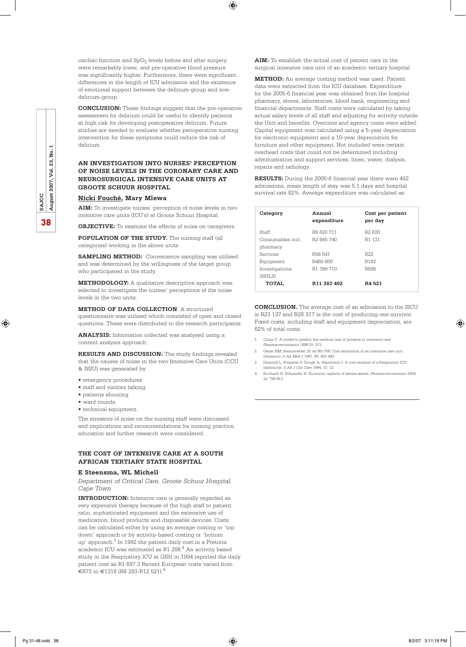cardiac function and  $SpO<sub>2</sub>$  levels before and after surgery were remarkably lower, and pre-operative blood pressure was significantly higher. Furthermore, there were significant differences in the length of ICU admission and the existence of emotional support between the delirium-group and nondelirium-group.

⊕

**CONCLUSION:** These findings suggest that the pre-operative assessment for delirium could be useful to identify patients at high risk for developing postoperative delirium. Future studies are needed to evaluate whether perioperative nursing intervention for these symptoms could reduce the risk of delirium.

### **AN INVESTIGATION INTO NURSES' PERCEPTION OF NOISE LEVELS IN THE CORONARY CARE AND NEUROSURGICAL INTENSIVE CARE UNITS AT GROOTE SCHUUR HOSPITAL**

### **Nicki Fouché, Mary Mlewa**

**AIM:** To investigate nurses' perception of noise levels in two intensive care units (ICU's) at Groote Schuur Hospital.

**OBJECTIVE:** To examine the effects of noise on caregivers.

**POPULATION OF THE STUDY.** The nursing staff (all categories) working in the above units.

**SAMPLING METHOD:** Convenience sampling was utilised and was determined by the willingness of the target group who participated in the study.

**METHODOLOGY:** A qualitative descriptive approach was selected to investigate the nurses' perceptions of the noise levels in the two units.

**METHOD OF DATA COLLECTION**: A structured questionnaire was utilised which consisted of open and closed questions. These were distributed to the research participants.

**ANALYSIS:** Information collected was analysed using a content analysis approach.

**RESULTS AND DISCUSSION:** The study findings revealed that the causes of noise in the two Intensive Care Units (CCU & NSU) was generated by

- emergency procedures
- staff and visitors talking
- patients shouting
- ward rounds
- technical equipment.

The stressors of noise on the nursing staff were discussed and implications and recommendations for nursing practice, education and further research were considered.

### **THE COST OF INTENSIVE CARE AT A SOUTH AFRICAN TERTIARY STATE HOSPITAL**

### **E Steensma, WL Michell**

*Department of Critical Care, Groote Schuur Hospital, Cape Town*

**INTRODUCTION:** Intensive care is generally regarded as very expensive therapy because of the high staff to patient ratio, sophisticated equipment and the extensive use of medication, blood products and disposable devices. Costs can be calculated either by using an average costing or 'top down' approach or by activity-based costing or 'bottom up' approach.<sup>1</sup> In 1992 the patient daily cost in a Pretoria academic ICU was estimated as R1 298. $^{\rm 2}$  An activity based study in the Respiratory ICU at GSH in 1994 reported the daily patient cost as R1 697.3 Recent European costs varied from €873 to €1318 (R8 293-R12 521).<sup>4</sup>

**AIM:** To establish the actual cost of patient care in the surgical intensive care unit of an academic tertiary hospital.

**METHOD:** An average costing method was used. Patient data were extracted from the ICU database. Expenditure for the 2005-6 financial year was obtained from the hospital pharmacy, stores, laboratories, blood bank, engineering and financial departments. Staff costs were calculated by taking actual salary levels of all staff and adjusting for activity outside the Unit and benefits. Overtime and agency costs were added. Capital equipment was calculated using a 5-year depreciation for electronic equipment and a 10-year depreciation for furniture and other equipment. Not included were certain overhead costs that could not be determined including administration and support services, linen, water, dialysis, repairs and radiology.

**RESULTS:** During the 2005-6 financial year there were 492 admissions, mean length of stay was 5.1 days and hospital survival rate 82%. Average expenditure was calculated as:

| Category         | Annual<br>expenditure   | Cost per patient<br>per day |
|------------------|-------------------------|-----------------------------|
| Staff            | R6 620 711              | R <sub>2</sub> 630          |
| Consumables incl | R <sub>2</sub> 845 740  | R1 131                      |
| pharmacy         |                         |                             |
| Services         | R <sub>56</sub> 541     | R <sub>22</sub>             |
| Equipment        | R460 600                | R <sub>182</sub>            |
| Investigations   | R1 399 710              | R556                        |
| (NHLS)           |                         |                             |
| TOTAI.           | R <sub>11</sub> 383 402 | R4 521                      |
|                  |                         |                             |

**CONCLUSION.** The average cost of an admission to the SICU is R23 137 and R28 317 is the cost of producing one survivor. Fixed costs, including staff and equipment depreciation, are 62% of total costs.

- 1. Chaix C. A model to predict the medical cost of patients in intensive care.
- *Pharmacoeconomics* 1999;15: 573.
- 2. Geyer NM, Swanevelder JP, de Wit PW. Cost estimation of an intensive care unit. (Abstract). *S Afr Med J* 1991; 80: 491-493.
- 3. Hammill L, Potgieter P, Gough A, Hammond J. A cost analysis of a Respiratory ICU (abstracts). *S Afr J Crit Care* 1994; 10: 12. 4. Buchardi H, Schneider H. Economic aspects of severe sepsis. *Pharmacoeconomics* 2004;
- 22: 793-813.

⊕

♠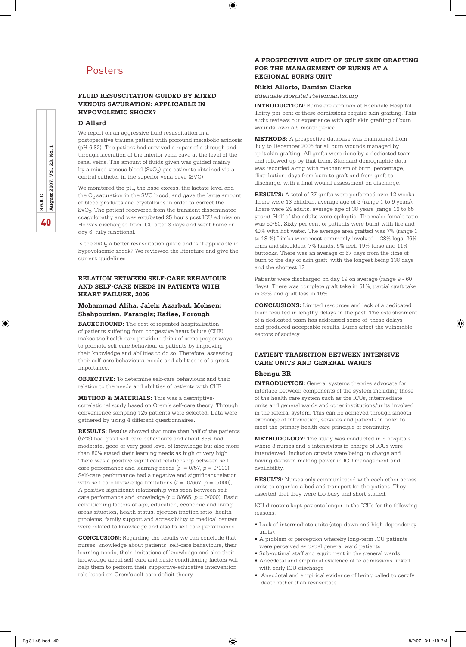### Posters

### **FLUID RESUSCITATION GUIDED BY MIXED VENOUS SATURATION: APPLICABLE IN HYPOVOLEMIC SHOCK?**

#### **D Allard**

We report on an aggressive fluid resuscitation in a postoperative trauma patient with profound metabolic acidosis (pH 6.82). The patient had survived a repair of a through and through laceration of the inferior vena cava at the level of the renal veins. The amount of fluids given was guided mainly by a mixed venous blood  $(SvO<sub>2</sub>)$  gas estimate obtained via a central catheter in the superior vena cava (SVC).

We monitored the pH, the base excess, the lactate level and the  $O_2$  saturation in the SVC blood, and gave the large amount of blood products and crystalloids in order to correct the SvO<sub>2</sub>. The patient recovered from the transient disseminated coagulopathy and was extubated 25 hours post ICU admission. He was discharged from ICU after 3 days and went home on day 6, fully functional.

Is the  $SvO<sub>2</sub>$  a better resuscitation guide and is it applicable in hypovolaemic shock? We reviewed the literature and give the current guidelines.

### **RELATION BETWEEN SELF-CARE BEHAVIOUR AND SELF-CARE NEEDS IN PATIENTS WITH HEART FAILURE, 2006**

### **Mohammad Aliha, Jaleh; Azarbad, Mohsen; Shahpourian, Farangis; Rafiee, Forough**

**BACKGROUND:** The cost of repeated hospitalisation of patients suffering from congestive heart failure (CHF) makes the health care providers think of some proper ways to promote self-care behaviour of patients by improving their knowledge and abilities to do so. Therefore, assessing their self-care behaviours, needs and abilities is of a great importance.

**OBJECTIVE:** To determine self-care behaviours and their relation to the needs and abilities of patients with CHF.

**METHOD & MATERIALS:** This was a descriptivecorrelational study based on Orem's self-care theory. Through convenience sampling 125 patients were selected. Data were gathered by using 4 different questionnaires.

**RESULTS:** Results showed that more than half of the patients (52%) had good self-care behaviours and about 85% had moderate, good or very good level of knowledge but also more than 80% stated their learning needs as high or very high. There was a positive significant relationship between selfcare performance and learning needs  $(r = 0/57, p = 0/000)$ . Self-care performance had a negative and significant relation with self-care knowledge limitations (*r =* -0/667, *p =* 0/000), A positive significant relationship was seen between selfcare performance and knowledge (*r =* 0/665, *p =* 0/000). Basic conditioning factors of age, education, economic and living areas situation, health status, ejection fraction ratio, health problems, family support and accessibility to medical centers were related to knowledge and also to self-care performance.

**CONCLUSION:** Regarding the results we can conclude that nurses' knowledge about patients' self-care behaviours, their learning needs, their limitations of knowledge and also their knowledge about self-care and basic conditioning factors will help them to perform their supportive-educative intervention role based on Orem's self-care deficit theory.

### **A PROSPECTIVE AUDIT OF SPLIT SKIN GRAFTING FOR THE MANAGEMENT OF BURNS AT A REGIONAL BURNS UNIT**

### **Nikki Allorto, Damian Clarke**

⊕

*Edendale Hospital Pietermaritzburg*

**INTRODUCTION:** Burns are common at Edendale Hospital. Thirty per cent of these admissions require skin grafting. This audit reviews our experience with split skin grafting of burn wounds over a 6-month period.

**METHODS:** A prospective database was maintained from July to December 2006 for all burn wounds managed by split skin grafting. All grafts were done by a dedicated team and followed up by that team. Standard demographic data was recorded along with mechanism of burn, percentage, distribution, days from burn to graft and from graft to discharge, with a final wound assessment on discharge.

**RESULTS:** A total of 37 grafts were performed over 12 weeks. There were 13 children, average age of 3 (range 1 to 9 years). There were 24 adults, average age of 38 years (range 16 to 65 years). Half of the adults were epileptic. The male/ female ratio was 50/50. Sixty per cent of patients were burnt with fire and 40% with hot water. The average area grafted was 7% (range 1 to 18 %) Limbs were most commonly involved – 28% legs, 26% arms and shoulders, 7% hands, 5% feet, 19% torso and 11% buttocks. There was an average of 57 days from the time of burn to the day of skin graft, with the longest being 138 days and the shortest 12.

Patients were discharged on day 19 on average (range 9 - 60 days) There was complete graft take in 51%, partial graft take in 33% and graft loss in 16%.

**CONCLUSIONS:** Limited resources and lack of a dedicated team resulted in lengthy delays in the past. The establishment of a dedicated team has addressed some of these delays and produced acceptable results. Burns affect the vulnerable sectors of society.

### **PATIENT TRANSITION BETWEEN INTENSIVE CARE UNITS AND GENERAL WARDS**

### **Bhengu BR**

**INTRODUCTION:** General systems theories advocate for interface between components of the system including those of the health care system such as the ICUs, intermediate units and general wards and other institutions/units involved in the referral system. This can be achieved through smooth exchange of information, services and patients in order to meet the primary health care principle of continuity.

**METHODOLOGY:** The study was conducted in 5 hospitals where 8 nurses and 5 intensivists in charge of ICUs were interviewed. Inclusion criteria were being in charge and having decision-making power in ICU management and availability.

**RESULTS:** Nurses only communicated with each other across units to organise a bed and transport for the patient. They asserted that they were too busy and short staffed.

ICU directors kept patients longer in the ICUs for the following reasons:

- Lack of intermediate units (step down and high dependency units).
- A problem of perception whereby long-term ICU patients were perceived as usual general ward patients
- Sub-optimal staff and equipment in the general wards
- Anecdotal and empirical evidence of re-admissions linked with early ICU discharge
- Anecdotal and empirical evidence of being called to certify death rather than resuscitate

⊕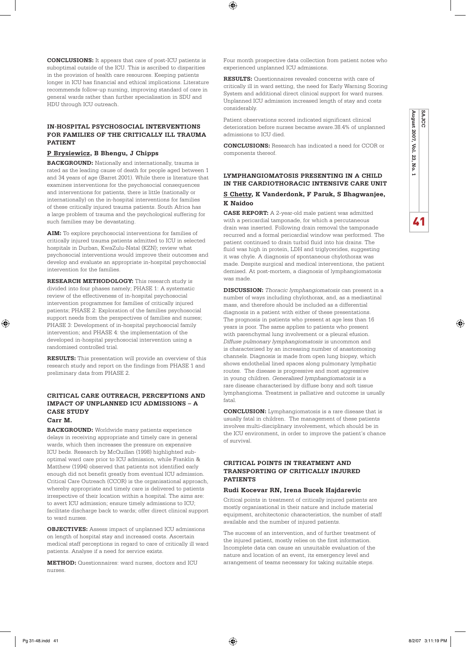**CONCLUSIONS:** It appears that care of post-ICU patients is suboptimal outside of the ICU. This is ascribed to disparities in the provision of health care resources. Keeping patients longer in ICU has financial and ethical implications. Literature recommends follow-up nursing, improving standard of care in general wards rather than further specialisation in SDU and HDU through ICU outreach.

### **IN-HOSPITAL PSYCHOSOCIAL INTERVENTIONS FOR FAMILIES OF THE CRITICALLY ILL TRAUMA PATIENT**

### **P Brysiewicz, B Bhengu, J Chipps**

**BACKGROUND:** Nationally and internationally, trauma is rated as the leading cause of death for people aged between 1 and 34 years of age (Barret 2001). While there is literature that examines interventions for the psychosocial consequences and interventions for patients, there is little (nationally or internationally) on the in-hospital interventions for families of these critically injured trauma patients. South Africa has a large problem of trauma and the psychological suffering for such families may be devastating.

**AIM:** To explore psychosocial interventions for families of critically injured trauma patients admitted to ICU in selected hospitals in Durban, KwaZulu-Natal (KZN); review what psychosocial interventions would improve their outcomes and develop and evaluate an appropriate in-hospital psychosocial intervention for the families.

**RESEARCH METHODOLOGY:** This research study is divided into four phases namely; PHASE 1: A systematic review of the effectiveness of in-hospital psychosocial intervention programmes for families of critically injured patients; PHASE 2: Exploration of the families psychosocial support needs from the perspectives of families and nurses; PHASE 3: Development of in-hospital psychosocial family intervention; and PHASE 4: the implementation of the developed in-hospital psychosocial intervention using a randomised controlled trial.

**RESULTS:** This presentation will provide an overview of this research study and report on the findings from PHASE 1 and preliminary data from PHASE 2.

### **CRITICAL CARE OUTREACH, PERCEPTIONS AND IMPACT OF UNPLANNED ICU ADMISSIONS – A CASE STUDY**

### **Carr M.**

⊕

**BACKGROUND:** Worldwide many patients experience delays in receiving appropriate and timely care in general wards, which then increases the pressure on expensive ICU beds. Research by McQuillan (1998) highlighted suboptimal ward care prior to ICU admission, while Franklin & Matthew (1994) observed that patients not identified early enough did not benefit greatly from eventual ICU admission. Critical Care Outreach (CCOR) is the organisational approach, whereby appropriate and timely care is delivered to patients irrespective of their location within a hospital. The aims are: to avert ICU admission; ensure timely admissions to ICU; facilitate discharge back to wards; offer direct clinical support to ward nurses.

**OBJECTIVES:** Assess impact of unplanned ICU admissions on length of hospital stay and increased costs. Ascertain medical staff perceptions in regard to care of critically ill ward patients. Analyse if a need for service exists.

**METHOD:** Questionnaires: ward nurses, doctors and ICU nurses.

Four month prospective data collection from patient notes who experienced unplanned ICU admissions.

 $\bigoplus$ 

**RESULTS:** Questionnaires revealed concerns with care of critically ill in ward setting, the need for Early Warning Scoring System and additional direct clinical support for ward nurses. Unplanned ICU admission increased length of stay and costs considerably.

Patient observations scored indicated significant clinical deterioration before nurses became aware.38.4% of unplanned admissions to ICU died.

**CONCLUSIONS:** Research has indicated a need for CCOR or components thereof.

**August 2007, Vol. 23, No. 1**

ξã No.

August 2007, Vol.

41

♠

**SAJCC**

### **LYMPHANGIOMATOSIS PRESENTING IN A CHILD IN THE CARDIOTHORACIC INTENSIVE CARE UNIT**

### **S Chetty, K Vanderdonk, F Paruk, S Bhagwanjee, K Naidoo**

**CASE REPORT:** A 2-year-old male patient was admitted with a pericardial tamponade, for which a percutaneous drain was inserted. Following drain removal the tamponade recurred and a formal pericardial window was performed. The patient continued to drain turbid fluid into his drains. The fluid was high in protein, LDH and triglycerides, suggesting it was chyle. A diagnosis of spontaneous chylothorax was made. Despite surgical and medical interventions, the patient demised. At post-mortem, a diagnosis of lymphangiomatosis was made.

**DISCUSSION:** *Thoracic lymphangiomatosis* can present in a number of ways including chylothorax, and, as a mediastinal mass, and therefore should be included as a differential diagnosis in a patient with either of these presentations. The prognosis in patients who present at age less than 16 years is poor. The same applies to patients who present with parenchymal lung involvement or a pleural efusion. *Diffuse pulmonary lymphangiomatosis* is uncommon and is characterised by an increasing number of anastomosing channels. Diagnosis is made from open lung biopsy, which shows endothelial lined spaces along pulmonary lymphatic routes. The disease is progressive and most aggressive in young children. *Generalised lymphangiomatosis* is a rare disease characterised by diffuse bony and soft tissue lymphangioma. Treatment is palliative and outcome is usually fatal.

**CONCLUSION:** Lymphangiomatosis is a rare disease that is usually fatal in children. The management of these patients involves multi-disciplinary involvement, which should be in the ICU environment, in order to improve the patient's chance of survival.

### **CRITICAL POINTS IN TREATMENT AND TRANSPORTING OF CRITICALLY INJURED PATIENTS**

### **Rudi Kocevar RN, Irena Bucek Hajdarevic**

Critical points in treatment of critically injured patients are mostly organisational in their nature and include material equipment, architectonic characteristics, the number of staff available and the number of injured patients.

The success of an intervention, and of further treatment of the injured patient, mostly relies on the first information. Incomplete data can cause an unsuitable evaluation of the nature and location of an event, its emergency level and arrangement of teams necessary for taking suitable steps.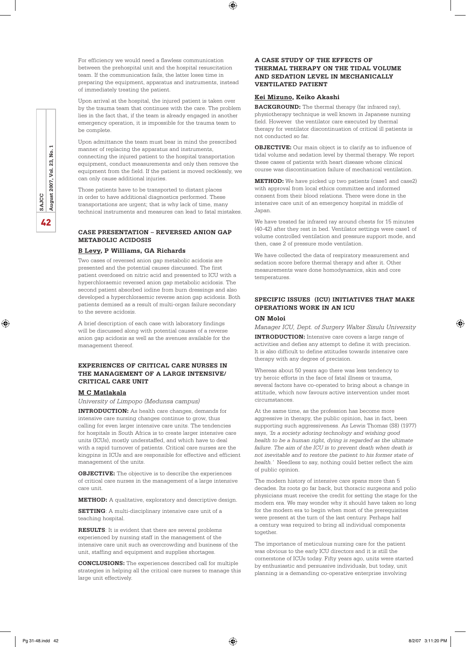For efficiency we would need a flawless communication between the prehospital unit and the hospital resuscitation team. If the communication fails, the latter loses time in preparing the equipment, apparatus and instruments, instead of immediately treating the patient.

Upon arrival at the hospital, the injured patient is taken over by the trauma team that continues with the care. The problem lies in the fact that, if the team is already engaged in another emergency operation, it is impossible for the trauma team to be complete.

Upon admittance the team must bear in mind the prescribed manner of replacing the apparatus and instruments, connecting the injured patient to the hospital transportation equipment, conduct measurements and only then remove the equipment from the field. If the patient is moved recklessly, we can only cause additional injuries.

Those patients have to be transported to distant places in order to have additional diagnostics performed. These transportations are urgent; that is why lack of time, many technical instruments and measures can lead to fatal mistakes.

### **CASE PRESENTATION – REVERSED ANION GAP METABOLIC ACIDOSIS**

### **B Levy, P Williams, GA Richards**

Two cases of reversed anion gap metabolic acidosis are presented and the potential causes discussed. The first patient overdosed on nitric acid and presented to ICU with a hyperchloraemic reversed anion gap metabolic acidosis. The second patient absorbed iodine from burn dressings and also developed a hyperchloraemic reverse anion gap acidosis. Both patients demised as a result of multi-organ failure secondary to the severe acidosis.

A brief description of each case with laboratory findings will be discussed along with potential causes of a reverse anion gap acidosis as well as the avenues available for the management thereof.

### **EXPERIENCES OF CRITICAL CARE NURSES IN THE MANAGEMENT OF A LARGE INTENSIVE/ CRITICAL CARE UNIT**

#### **M C Matlakala**

*University of Limpopo (Medunsa campus)*

**INTRODUCTION:** As health care changes, demands for intensive care nursing changes continue to grow, thus calling for even larger intensive care units. The tendencies for hospitals in South Africa is to create larger intensive care units (ICUs), mostly understaffed, and which have to deal with a rapid turnover of patients. Critical care nurses are the kingpins in ICUs and are responsible for effective and efficient management of the units.

**OBJECTIVE:** The objective is to describe the experiences of critical care nurses in the management of a large intensive care unit.

**METHOD:** A qualitative, exploratory and descriptive design.

**SETTING**: A multi-disciplinary intensive care unit of a teaching hospital.

**RESULTS**: It is evident that there are several problems experienced by nursing staff in the management of the intensive care unit such as overcrowding and business of the unit, staffing and equipment and supplies shortages.

**CONCLUSIONS:** The experiences described call for multiple strategies in helping all the critical care nurses to manage this large unit effectively.

### **A CASE STUDY OF THE EFFECTS OF THERMAL THERAPY ON THE TIDAL VOLUME AND SEDATION LEVEL IN MECHANICALLY VENTILATED PATIENT**

### **Kei Mizuno, Keiko Akashi**

⊕

**BACKGROUND:** The thermal therapy (far infrared ray), physiotherapy technique is well known in Japanese nursing field. However the ventilator care executed by thermal therapy for ventilator discontinuation of critical ill patients is not conducted so far.

**OBJECTIVE:** Our main object is to clarify as to influence of tidal volume and sedation level by thermal therapy. We report these cases of patients with heart disease whose clinical course was discontinuation failure of mechanical ventilation.

**METHOD:** We have picked up two patients (case1 and case2) with approval from local ethics committee and informed consent from their blood relations. There were done in the intensive care unit of an emergency hospital in middle of Japan.

We have treated far infrared ray around chests for 15 minutes (40-42) after they rest in bed. Ventilator settings were case1 of volume controlled ventilation and pressure support mode, and then, case 2 of pressure mode ventilation.

We have collected the data of respiratory measurement and sedation score before thermal therapy and after it. Other measurements ware done homodynamics, skin and core temperatures.

### **SPECIFIC ISSUES (ICU) INITIATIVES THAT MAKE OPERATIONS WORK IN AN ICU**

#### **ON Moloi**

*Manager ICU, Dept. of Surgery Walter Sisulu University*

**INTRODUCTION:** Intensive care covers a large range of activities and defies any attempt to define it with precision. It is also difficult to define attitudes towards intensive care therapy with any degree of precision.

Whereas about 50 years ago there was less tendency to try heroic efforts in the face of fatal illness or trauma, several factors have co-operated to bring about a change in attitude, which now favours active intervention under most circumstances.

At the same time, as the profession has become more aggressive in therapy, the public opinion, has in fact, been supporting such aggressiveness. As Lewis Thomas (S8) (1977) says, *'In a society adoring technology and wishing good health to be a human right, dying is regarded as the ultimate failure. The aim of the ICU is to prevent death when death is not inevitable and to restore the patient to his former state of health.'* Needless to say, nothing could better reflect the aim of public opinion.

The modern history of intensive care spans more than 5 decades. Its roots go far back, but thoracic surgeons and polio physicians must receive the credit for setting the stage for the modern era. We may wonder why it should have taken so long for the modern era to begin when most of the prerequisites were present at the turn of the last century. Perhaps half a century was required to bring all individual components together.

The importance of meticulous nursing care for the patient was obvious to the early ICU directors and it is still the cornerstone of ICUs today. Fifty years ago, units were started by enthusiastic and persuasive individuals, but today, unit planning is a demanding co-operative enterprise involving

Pg 31-48.indd 42 8/2/07 3:11:20 PM

♠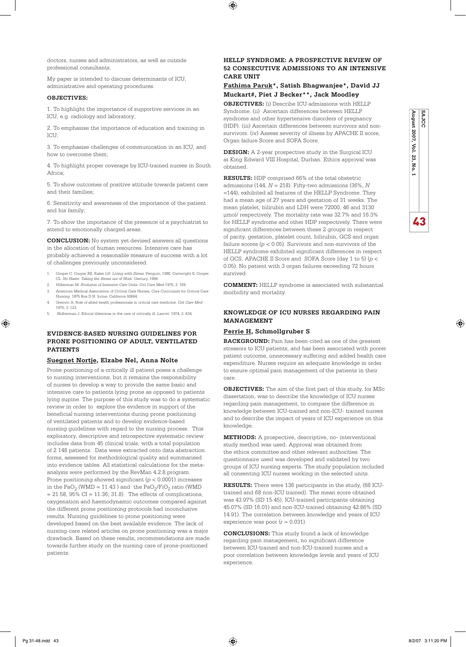$\bigoplus$ 

doctors, nurses and administrators, as well as outside professional consultants.

My paper is intended to discuss determinants of ICU, administrative and operating procedures.

### **OBJECTIVES:**

1. To highlight the importance of supportive services in an ICU, e.g. radiology and laboratory;

2. To emphasise the importance of education and training in ICU:

3. To emphasise challenges of communication in an ICU, and how to overcome them;

4. To highlight proper coverage by ICU-trained nurses in South Africa;

5. To show outcomes of positive attitude towards patient care and their families;

6. Sensitivity and awareness of the importance of the patient and his family;

7. To show the importance of the presence of a psychiatrist to attend to emotionally charged areas.

**CONCLUSION:** No system yet devised answers all questions in the allocation of human resources. Intensive care has probably achieved a reasonable measure of success with a lot of challenges previously unconsidered.

- 1. Cooper C, Cooper RS, Eaker LH. *Living with Stress*, Penguin, 1988. Cartwright S, Cooper CL. *No Haste: Taking the Stress out of Work.* Century, 1994.
- 2. Hilberman M. *Evolution of Intensive Care Units*. Crit Care Med 1975; 3: 159.
- 3. American Medical Association of Critical Care Nurses, Core Curriculum for Critical Care Nursing. 1975 Box D.N. Irvine, California 92664.
- 4. Grenvic A. Role of allied health professionals in critical care medicine. *Crit Care Med* 1975; 3: 123.
- 5. Skilberman J. Ethical dilemmas in the care of critically ill. *Lancet* 1974; 2: 634.

### **EVIDENCE-BASED NURSING GUIDELINES FOR PRONE POSITIONING OF ADULT, VENTILATED PATIENTS**

### **Suegnet Nortje, Elzabe Nel, Anna Nolte**

Prone positioning of a critically ill patient poses a challenge to nursing interventions, but it remains the responsibility of nurses to develop a way to provide the same basic and intensive care to patients lying prone as opposed to patients lying supine. The purpose of this study was to do a systematic review in order to explore the evidence in support of the beneficial nursing interventions during prone positioning of ventilated patients and to develop evidence-based nursing guidelines with regard to the nursing process. This exploratory, descriptive and retrospective systematic review includes data from 45 clinical trials, with a total population of 2 148 patients. Data were extracted onto data abstraction forms, assessed for methodological quality and summarised into evidence tables. All statistical calculations for the metaanalysis were performed by the RevMan 4.2.8 program. Prone positioning showed significant (*p* < 0.0001) increases in the  $PaO_2$  (WMD = 11.43) and the  $PaO_2$ /FiO<sub>2</sub> ratio (WMD  $= 21.58$ ,  $95\%$  CI  $= 11.36$ ;  $31.8$ ). The effects of complications, oxygenation and haemodynamic outcomes compared against the different prone positioning protocols had inconclusive results. Nursing guidelines to prone positioning were developed based on the best available evidence. The lack of nursing-care related articles on prone positioning was a major drawback. Based on these results, recommendations are made towards further study on the nursing care of prone-positioned patients.

### **HELLP SYNDROME: A PROSPECTIVE REVIEW OF 52 CONSECUTIVE ADMISSIONS TO AN INTENSIVE CARE UNIT**

### **Fathima Paruk\*, Satish Bhagwanjee\*, David JJ Muckart#, Piet J Becker\*\*, Jack Moodley**

**OBJECTIVES:** (i) Describe ICU admissions with HELLP Syndrome. (ii) Ascertain differences between HELLP syndrome and other hypertensive disorders of pregnancy (HDP). (iii) Ascertain differences between survivors and nonsurvivors. (iv) Assess severity of illness by APACHE II score, Organ failure Score and SOFA Score.

**DESIGN:** A 2-year prospective study in the Surgical ICU at King Edward VIII Hospital, Durban. Ethics approval was obtained.

**RESULTS:** HDP comprised 66% of the total obstetric admissions (144, *N* = 218). Fifty-two admissions (36%, *N* =144), exhibited all features of the HELLP Syndrome. They had a mean age of 27 years and gestation of 31 weeks. The mean platelet, bilirubin and LDH were 72000, 46 and 3130 µmol/ respectively. The mortality rate was 32.7% and 16.3% for HELLP syndrome and other HDP respectively. There were significant differences between these 2 groups in respect of parity, gestation, platelet count, bilirubin, GCS and organ failure scores ( $p < 0.05$ ). Survivors and non-survivors of the HELLP syndrome exhibited significant differences in respect of GCS, APACHE II Score and SOFA Score (day 1 to 5) (*p* < 0.05). No patient with 3 organ failures exceeding 72 hours survived.

**COMMENT:** HELLP syndrome is associated with substantial morbidity and mortality.

### **KNOWLEDGE OF ICU NURSES REGARDING PAIN MANAGEMENT**

### **Perrie H, Schmollgruber S**

**BACKGROUND:** Pain has been cited as one of the greatest stressors to ICU patients, and has been associated with poorer patient outcome, unnecessary suffering and added health care expenditure. Nurses require an adequate knowledge in order to ensure optimal pain management of the patients in their care.

**OBJECTIVES:** The aim of the first part of this study, for MSc dissertation, was to describe the knowledge of ICU nurses regarding pain management, to compare the difference in knowledge between ICU-trained and non-ICU- trained nurses and to describe the impact of years of ICU experience on this knowledge

**METHODS:** A prospective, descriptive, no- interventional study method was used. Approval was obtained from the ethics committee and other relevant authorities. The questionnaire used was developed and validated by two groups of ICU nursing experts. The study population included all consenting ICU nurses working in the selected units.

**RESULTS:** There were 136 participants in the study, (68 ICUtrained and 68 non-ICU trained). The mean score obtained was 43.97% (SD 15.45), ICU-trained participants obtaining 45.07% (SD 16.01) and non-ICU-trained obtaining 42.86% (SD 14.91). The correlation between knowledge and years of ICU experience was poor (*r =* 0.031).

**CONCLUSIONS:** This study found a lack of knowledge regarding pain management, no significant difference between ICU-trained and non-ICU-trained nurses and a poor correlation between knowledge levels and years of ICU experience.



♠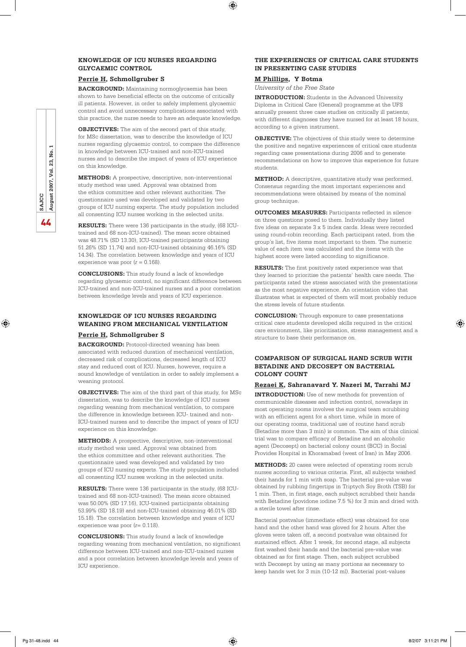### **KNOWLEDGE OF ICU NURSES REGARDING GLYCAEMIC CONTROL**

### **Perrie H, Schmollgruber S**

**BACKGROUND:** Maintaining normoglycaemia has been shown to have beneficial effects on the outcome of critically ill patients. However, in order to safely implement glycaemic control and avoid unnecessary complications associated with this practice, the nurse needs to have an adequate knowledge.

**OBJECTIVES:** The aim of the second part of this study, for MSc dissertation, was to describe the knowledge of ICU nurses regarding glycaemic control, to compare the difference in knowledge between ICU-trained and non-ICU-trained nurses and to describe the impact of years of ICU experience on this knowledge.

**METHODS:** A prospective, descriptive, non-interventional study method was used. Approval was obtained from the ethics committee and other relevant authorities. The questionnaire used was developed and validated by two groups of ICU nursing experts. The study population included all consenting ICU nurses working in the selected units.

**RESULTS:** There were 136 participants in the study, (68 ICUtrained and 68 non-ICU-trained). The mean score obtained was 48.71% (SD 13.30), ICU-trained participants obtaining 51.26% (SD 11.74) and non-ICU-trained obtaining 46.16% (SD 14.34). The correlation between knowledge and years of ICU experience was poor (*r =* 0.168).

**CONCLUSIONS:** This study found a lack of knowledge regarding glycaemic control, no significant difference between ICU-trained and non-ICU-trained nurses and a poor correlation between knowledge levels and years of ICU experience.

### **KNOWLEDGE OF ICU NURSES REGARDING WEANING FROM MECHANICAL VENTILATION**

### **Perrie H, Schmollgruber S**

**BACKGROUND:** Protocol-directed weaning has been associated with reduced duration of mechanical ventilation, decreased risk of complications, decreased length of ICU stay and reduced cost of ICU. Nurses, however, require a sound knowledge of ventilation in order to safely implement a weaning protocol.

**OBJECTIVES:** The aim of the third part of this study, for MSc dissertation, was to describe the knowledge of ICU nurses regarding weaning from mechanical ventilation, to compare the difference in knowledge between ICU- trained and non-ICU-trained nurses and to describe the impact of years of ICU experience on this knowledge.

**METHODS:** A prospective, descriptive, non-interventional study method was used. Approval was obtained from the ethics committee and other relevant authorities. The questionnaire used was developed and validated by two groups of ICU nursing experts. The study population included all consenting ICU nurses working in the selected units.

**RESULTS:** There were 136 participants in the study, (68 ICUtrained and 68 non-ICU-trained). The mean score obtained was 50.00% (SD 17.16), ICU-trained participants obtaining 53.99% (SD 18.19) and non-ICU-trained obtaining 46.01% (SD 15.18). The correlation between knowledge and years of ICU experience was poor (*r*= 0.118).

**CONCLUSIONS:** This study found a lack of knowledge regarding weaning from mechanical ventilation, no significant difference between ICU-trained and non-ICU-trained nurses and a poor correlation between knowledge levels and years of ICU experience.

### **THE EXPERIENCES OF CRITICAL CARE STUDENTS IN PRESENTING CASE STUDIES**

### **M Phillips, Y Botma**

⊕

*University of the Free State*

**INTRODUCTION:** Students in the Advanced University Diploma in Critical Care (General) programme at the UFS annually present three case studies on critically ill patients, with different diagnoses they have nursed for at least 18 hours, according to a given instrument.

**OBJECTIVE:** The objectives of this study were to determine the positive and negative experiences of critical care students regarding case presentations during 2006 and to generate recommendations on how to improve this experience for future students.

**METHOD:** A descriptive, quantitative study was performed. Consensus regarding the most important experiences and recommendations were obtained by means of the nominal group technique.

**OUTCOMES MEASURES:** Participants reflected in silence on three questions posed to them. Individually they listed five ideas on separate 3 x 5 index cards. Ideas were recorded using round-robin recording. Each participant rated, from the group's list, five items most important to them. The numeric value of each item was calculated and the items with the highest score were listed according to significance.

**RESULTS:** The first positively rated experience was that they learned to prioritise the patients' health care needs. The participants rated the stress associated with the presentations as the most negative experience. An orientation video that illustrates what is expected of them will most probably reduce the stress levels of future students.

**CONCLUSION:** Through exposure to case presentations critical care students developed skills required in the critical care environment, like prioritisation, stress management and a structure to base their performance on.

### **COMPARISON OF SURGICAL HAND SCRUB WITH BETADINE AND DECOSEPT ON BACTERIAL COLONY COUNT**

### **Rezaei K, Sahranavard Y. Nazeri M, Tarrahi MJ**

**INTRODUCTION:** Use of new methods for prevention of communicable diseases and infection control, nowadays in most operating rooms involves the surgical team scrubbing with an efficient agent for a short time, while in more of our operating rooms, traditional use of routine hand scrub (Betadine more than 3 min) is common. The aim of this clinical trial was to compare efficacy of Betadine and an alcoholic agent (Decosept) on bacterial colony count (BCC) in Social Provides Hospital in Khoramabad (west of Iran) in May 2006.

**METHODS:** 20 cases were selected of operating room scrub nurses according to various criteria. First, all subjects washed their hands for 1 min with soap. The bacterial pre-value was obtained by rubbing fingertips in Triptych Soy Broth (TSB) for 1 min. Then, in first stage, each subject scrubbed their hands with Betadine (povidone iodine 7.5 %) for 3 min and dried with a sterile towel after rinse.

Bacterial postvalue (immediate effect) was obtained for one hand and the other hand was gloved for 2 hours. After the gloves were taken off, a second postvalue was obtained for sustained effect. After 1 week, for second stage, all subjects first washed their hands and the bacterial pre-value was obtained as for first stage. Then, each subject scrubbed with Decosept by using as many portions as necessary to keep hands wet for 3 min (10-12 ml). Bacterial post-values

44**SAJCC August 2007, Vol. 23, No. 1** ρg. 23, Vol. August 2007, SAJCC 44

⊕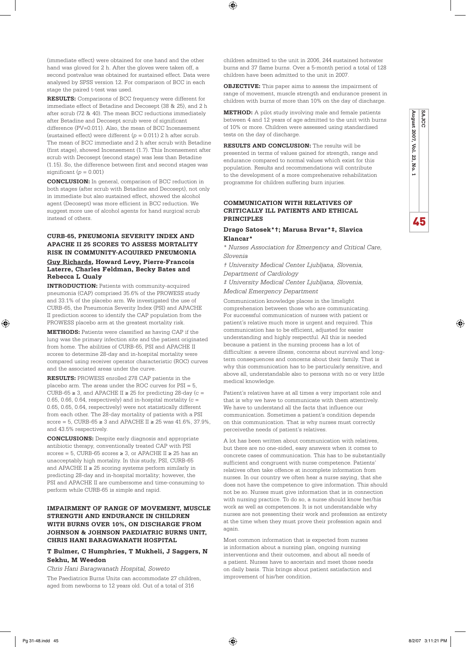(immediate effect) were obtained for one hand and the other hand was gloved for 2 h. After the gloves were taken off, a second postvalue was obtained for sustained effect. Data were analysed by SPSS version 12. For comparison of BCC in each stage the paired t-test was used.

**RESULTS:** Comparisons of BCC frequency were different for immediate effect of Betadine and Decosept (38 & 25), and 2 h after scrub (72 & 40). The mean BCC reductions immediately after Betadine and Decosept scrub were of significant difference (PV=0.011). Also, the mean of BCC Incensement (sustained effect) were different (*p =* 0.011) 2 h after scrub. The mean of BCC immediate and 2 h after scrub with Betadine (first stage), showed Incensement (1.7). This Incensement after scrub with Decosept (second stage) was less than Betadine (1.15). So, the difference between first and second stages was significant (*p =* 0.001)

**CONCLUSION:** In general, comparison of BCC reduction in both stages (after scrub with Betadine and Decosept), not only in immediate but also sustained effect, showed the alcohol agent (Decosept) was more efficient in BCC reduction. We suggest more use of alcohol agents for hand surgical scrub instead of others.

### **CURB-65, PNEUMONIA SEVERITY INDEX AND APACHE II 25 SCORES TO ASSESS MORTALITY RISK IN COMMUNITY-ACQUIRED PNEUMONIA Guy Richards, Howard Levy, Pierre-Francois**

### **Laterre, Charles Feldman, Becky Bates and Rebecca L Qualy**

**INTRODUCTION:** Patients with community-acquired pneumonia (CAP) comprised 35.6% of the PROWESS study and 33.1% of the placebo arm. We investigated the use of CURB-65, the Pneumonia Severity Index (PSI) and APACHE II prediction scores to identify the CAP population from the PROWESS placebo arm at the greatest mortality risk.

**METHODS:** Patients were classified as having CAP if the lung was the primary infection site and the patient originated from home. The abilities of CURB-65, PSI and APACHE II scores to determine 28-day and in-hospital mortality were compared using receiver operator characteristic (ROC) curves and the associated areas under the curve.

**RESULTS:** PROWESS enrolled 278 CAP patients in the placebo arm. The areas under the ROC curves for PSI = 5, CURB-65  $\geq$  3, and APACHE II  $\geq$  25 for predicting 28-day (c = 0.65, 0.66, 0.64, respectively) and in-hospital mortality ( $c =$ 0.65, 0.65, 0.64, respectively) were not statistically different from each other. The 28-day mortality of patients with a PSI score = 5, CURB-65  $\geq 3$  and APACHE II  $\geq 25$  was 41.6%, 37.9%, and 43.5% respectively.

**CONCLUSIONS:** Despite early diagnosis and appropriate antibiotic therapy, conventionally treated CAP with PSI scores = 5, CURB-65 scores  $\geq 3$ , or APACHE II  $\geq 25$  has an unacceptably high mortality. In this study, PSI, CURB-65 and APACHE II ≥ 25 scoring systems perform similarly in predicting 28-day and in-hospital mortality; however, the PSI and APACHE II are cumbersome and time-consuming to perform while CURB-65 is simple and rapid.

### **IMPAIRMENT OF RANGE OF MOVEMENT, MUSCLE STRENGTH AND ENDURANCE IN CHILDREN WITH BURNS OVER 10%, ON DISCHARGE FROM Johnson & Johnson Paediatric Burns Unit, Chris Hani Baragwanath Hospital**

### **T Bulmer, C Humphries, T Mukheli, J Saggers, N Sekhu, M Weedon**

*Chris Hani Baragwanath Hospital, Soweto*

The Paediatrics Burns Units can accommodate 27 children, aged from newborns to 12 years old. Out of a total of 316

children admitted to the unit in 2006, 244 sustained hotwater burns and 37 flame burns. Over a 5-month period a total of 128 children have been admitted to the unit in 2007.

⊕

**OBJECTIVE:** This paper aims to assess the impairment of range of movement, muscle strength and endurance present in children with burns of more than 10% on the day of discharge.

**METHOD:** A pilot study involving male and female patients between 4 and 12 years of age admitted to the unit with burns of 10% or more. Children were assessed using standardised tests on the day of discharge.

**August 2007, Vol. 23, No. 1**

ಜ No.

August 2007, Vol.

45

⊕

**SAJCC**

**RESULTS AND CONCLUSION:** The results will be presented in terms of values gained for strength, range and endurance compared to normal values which exist for this population. Results and recommendations will contribute to the development of a more comprehensive rehabilitation programme for children suffering burn injuries.

### **COMMUNICATION WITH RELATIVES OF CRITICALLY ILL PATIENTS AND ETHICAL PRINCIPLES**

### **Drago Satosek\*†; Marusa Brvar\*‡, Slavica Klancar\***

*\* Nurses Association for Emergency and Critical Care, Slovenia*

*† University Medical Center Ljubljana, Slovenia, Department of Cardiology*

*‡ University Medical Center Ljubljana, Slovenia, Medical Emergency Department*

Communication knowledge places in the limelight comprehension between those who are communicating. For successful communication of nurses with patient or patient's relative much more is urgent and required. This communication has to be efficient, adjusted for easier understanding and highly respectful. All this is needed because a patient in the nursing process has a lot of difficulties: a severe illness, concerns about survival and longterm consequences and concerns about their family. That is why this communication has to be particularly sensitive, and above all, understandable also to persons with no or very little medical knowledge.

Patient's relatives have at all times a very important role and that is why we have to communicate with them attentively. We have to understand all the facts that influence our communication. Sometimes a patient's condition depends on this communication. That is why nurses must correctly perceivethe needs of patient's relatives.

A lot has been written about communication with relatives, but there are no one-sided, easy answers when it comes to concrete cases of communication. This has to be substantially sufficient and congruent with nurse competence. Patients' relatives often take offence at incomplete information from nurses. In our country we often hear a nurse saying, that she does not have the competence to give information. This should not be so. Nurses must give information that is in connection with nursing practice. To do so, a nurse should know her/his work as well as competences. It is not understandable why nurses are not presenting their work and profession as entirety at the time when they must prove their profession again and again.

Most common information that is expected from nurses is information about a nursing plan, ongoing nursing interventions and their outcomes, and about all needs of a patient. Nurses have to ascertain and meet those needs on daily basis. This brings about patient satisfaction and improvement of his/her condition.

⊕

Pg 31-48.indd 45 8/2/07 3:11:21 PM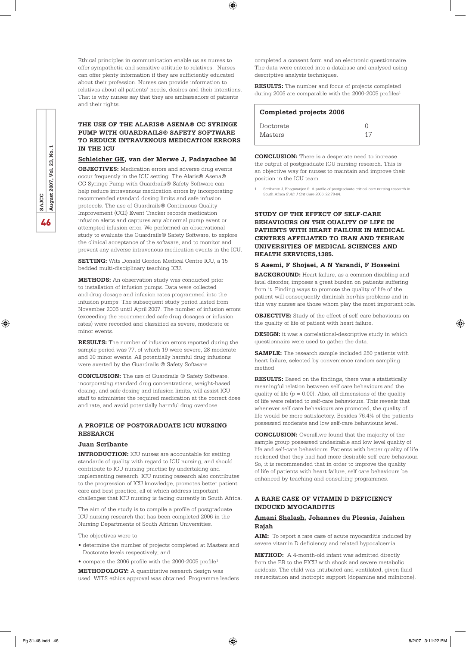Ethical principles in communication enable us as nurses to offer sympathetic and sensitive attitude to relatives. Nurses can offer plenty information if they are sufficiently educated about their profession. Nurses can provide information to relatives about all patients' needs, desires and their intentions. That is why nurses say that they are ambassadors of patients and their rights.

⊕

### **THE USE OF THE ALARIS® ASENA® CC SYRINGE PUMP WITH GUARDRAILS® SAFETY SOFTWARE TO REDUCE INTRAVENOUS MEDICATION ERRORS IN THE ICU**

### **Schleicher GK, van der Merwe J, Padayachee M**

**OBJECTIVES:** Medication errors and adverse drug events occur frequently in the ICU setting. The Alaris® Asena® CC Syringe Pump with Guardrails® Safety Software can help reduce intravenous medication errors by incorporating recommended standard dosing limits and safe infusion protocols. The use of Guardrails® Continuous Quality Improvement (CQI) Event Tracker records medication infusion alerts and captures any abnormal pump event or attempted infusion error. We performed an observational study to evaluate the Guardrails® Safety Software, to explore the clinical acceptance of the software, and to monitor and prevent any adverse intravenous medication events in the ICU.

**SETTING:** Wits Donald Gordon Medical Centre ICU, a 15 bedded multi-disciplinary teaching ICU.

**METHODS:** An observation study was conducted prior to installation of infusion pumps. Data were collected and drug dosage and infusion rates programmed into the infusion pumps. The subsequent study period lasted from November 2006 until April 2007. The number of infusion errors (exceeding the recommended safe drug dosages or infusion rates) were recorded and classified as severe, moderate or minor events.

**RESULTS:** The number of infusion errors reported during the sample period was 77, of which 19 were severe, 28 moderate and 30 minor events. All potentially harmful drug infusions were averted by the Guardrails ® Safety Software.

**CONCLUSION:** The use of Guardrails ® Safety Software, incorporating standard drug concentrations, weight-based dosing, and safe dosing and infusion limits, will assist ICU staff to administer the required medication at the correct dose and rate, and avoid potentially harmful drug overdose.

### **A PROFILE OF POSTGRADUATE ICU NURSING RESEARCH**

### **Juan Scribante**

**INTRODUCTION:** ICU nurses are accountable for setting standards of quality with regard to ICU nursing, and should contribute to ICU nursing practise by undertaking and implementing research. ICU nursing research also contributes to the progression of ICU knowledge, promotes better patient care and best practice, all of which address important challenges that ICU nursing is facing currently in South Africa.

The aim of the study is to compile a profile of postgraduate ICU nursing research that has been completed 2006 in the Nursing Departments of South African Universities.

The objectives were to:

- determine the number of projects completed at Masters and Doctorate levels respectively; and
- compare the 2006 profile with the 2000-2005 profile<sup>1</sup>.

**METHODOLOGY:** A quantitative research design was used. WITS ethics approval was obtained. Programme leaders completed a consent form and an electronic questionnaire. The data were entered into a database and analysed using descriptive analysis techniques.

**RESULTS:** The number and focus of projects completed during 2006 are comparable with the  $2000-2005$  profiles<sup>1</sup>

| Completed projects 2006 |  |
|-------------------------|--|
| Doctorate<br>Masters    |  |

**CONCLUSION:** There is a desperate need to increase the output of postgraduate ICU nursing research. This is an objective way for nurses to maintain and improve their position in the ICU team.

1. Scribante J, Bhagwanjee S: A profile of postgraduate critical care nursing research in South Africa *S Afr J Crit Care* 2006; 22:78-84.

### **STUDY OF THE EFFECT OF SELF-CARE BEHAVIOURS ON THE QUALITY OF LIFE IN PATIENTS WITH HEART FAILURE IN MEDICAL CENTRES AFFILIATED TO IRAN AND TEHRAN UNIVERSITIES OF MEDICAL SCIENCES AND HEALTH SERVICES,1385.**

### **S Asemi, F Shojaei, A N Yarandi, F Hosseini BACKGROUND:** Heart failure, as a common disabling and

fatal disorder, imposes a great burden on patients suffering from it. Finding ways to promote the quality of life of the patient will consequently diminish her/his problems and in this way nurses are those whom play the most important role.

**OBJECTIVE:** Study of the effect of self-care behaviours on the quality of life of patient with heart failure.

**DESIGN:** it was a correlational-descriptive study in which questionnairs were used to gather the data.

**SAMPLE:** The research sample included 250 patients with heart failure, selected by convenience random sampling method.

**RESULTS:** Based on the findings, there was a statistically meaningful relation between self care behaviours and the quality of life (*p =* 0.00). Also, all dimensions of the quality of life were related to self-care behaviours. This reveals that whenever self care behaviours are promoted, the quality of life would be more satisfactory. Besides 76.4% of the patients possessed moderate and low self-care behaviours level.

**CONCLUSION:** Overall,we found that the majority of the sample group possessed undesirable and low level quality of life and self-care behaviours. Patients with better quality of life reckoned that they had had more desirable self-care behaviour. So, it is recommended that in order to improve the quality of life of patients with heart failure, self care behaviours be enhanced by teaching and consulting programmes.

### **A RARE CASE OF VITAMIN D DEFICIENCY INDUCED MYOCARDITIS**

### **Amani Shalash, Johannes du Plessis, Jaishen Rajah**

**AIM:** To report a rare case of acute myocarditis induced by severe vitamin D deficiency and related hypocalcemia.

**METHOD:** A 4-month-old infant was admitted directly from the ER to the PICU with shock and severe metabolic acidosis. The child was intubated and ventilated, given fluid resuscitation and inotropic support (dopamine and milnirone).

⊕